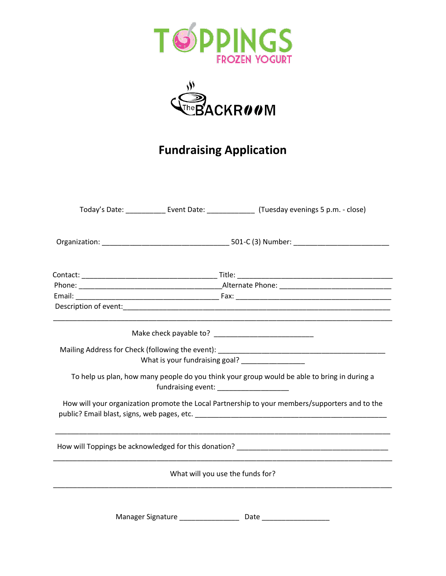



## **Fundraising Application**

|                                                                                             |                                  | Today's Date: ______________ Event Date: ________________ (Tuesday evenings 5 p.m. - close)    |
|---------------------------------------------------------------------------------------------|----------------------------------|------------------------------------------------------------------------------------------------|
|                                                                                             |                                  |                                                                                                |
|                                                                                             |                                  |                                                                                                |
|                                                                                             |                                  |                                                                                                |
|                                                                                             |                                  |                                                                                                |
|                                                                                             |                                  |                                                                                                |
|                                                                                             |                                  |                                                                                                |
|                                                                                             |                                  | What is your fundraising goal? ________________                                                |
| To help us plan, how many people do you think your group would be able to bring in during a |                                  |                                                                                                |
|                                                                                             |                                  | How will your organization promote the Local Partnership to your members/supporters and to the |
|                                                                                             |                                  |                                                                                                |
|                                                                                             | What will you use the funds for? |                                                                                                |
|                                                                                             |                                  |                                                                                                |
| Manager Signature                                                                           |                                  | Date                                                                                           |